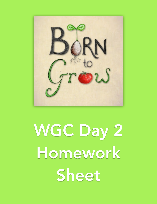

WGC Day 2 Homework Sheet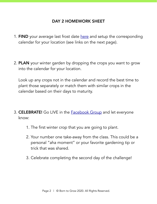## DAY 2 HOMEWORK SHEET

- 1. FIND your average last frost date [here](https://davesgarden.com/guides/freeze-frost-dates/) and setup the corresponding calendar for your location (see links on the next page).
- 2. PLAN your winter garden by dropping the crops you want to grow into the calendar for your location.

Look up any crops not in the calendar and record the best time to plant those separately or match them with similar crops in the calendar based on their days to maturity.

- 3. CELEBRATE! Go LIVE in the **Facebook Group** and let everyone know:
	- 1. The first winter crop that you are going to plant.
	- 2. Your number one take-away from the class. This could be a personal "aha moment" or your favorite gardening tip or trick that was shared.
	- 3. Celebrate completing the second day of the challenge!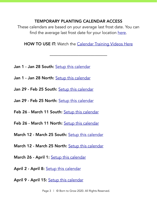## TEMPORARY PLANTING CALENDAR ACCESS

These calendars are based on your average last frost date. You can find the average last frost date for your location [here](https://davesgarden.com/guides/freeze-frost-dates/).

**HOW TO USE IT:** Watch the [Calendar Training Videos Here](https://borntogrow.net/calendar-training/)

——————————————

- Jan 1 Jan 28 South: [Setup this calendar](https://launch.borntogrow.net/calendar-setup/?url=https://teamup.com/ksk85eb5ire7jm3xkj?tz=America%2FNew_York&view=L&date=2016-01-01&showHeader=0&showViewSelector=0&calendars=6088479&viewstate=%7B%22dateRange%22%3A%22day%22%2C%22groupBy%22%3A%22none%22%2C%22showDetails%22%3Atrue%7D)
- Jan 1 Jan 28 North: [Setup this calendar](https://launch.borntogrow.net/calendar-setup/?url=https://teamup.com/ksk4v6q3gynzc9ugzr?tz=America%2FNew_York&view=L&date=2016-01-01&showHeader=0&showViewSelector=0&calendars=6087949&viewstate=%7B%22dateRange%22%3A%22day%22%2C%22groupBy%22%3A%22none%22%2C%22showDetails%22%3Atrue%7D)
- Jan 29 Feb 25 South: [Setup this calendar](https://launch.borntogrow.net/calendar-setup/?url=https://teamup.com/ksjdpre3pg82tekrng?tz=America%2FNew_York&view=L&date=2016-01-01&showHeader=0&showViewSelector=0&calendars=6088709&viewstate=%7B%22dateRange%22%3A%22day%22%2C%22groupBy%22%3A%22none%22%2C%22showDetails%22%3Atrue%7D)
- Jan 29 Feb 25 North: [Setup this calendar](https://launch.borntogrow.net/calendar-setup/?url=https://teamup.com/ksy6dnmm2qobq2sthb?tz=America%2FNew_York&view=L&date=2016-01-01&showHeader=0&showViewSelector=0&calendars=6083249&viewstate=%7B%22dateRange%22%3A%22day%22%2C%22groupBy%22%3A%22none%22%2C%22showDetails%22%3Atrue%7D)
- Feb 26 March 11 South: [Setup this calendar](https://launch.borntogrow.net/calendar-setup/?url=https://teamup.com/ks7wtpzwt2nc18xmbx?tz=America%2FNew_York&view=L&date=2016-01-01&showHeader=0&showViewSelector=0&calendars=6088913&viewstate=%7B%22dateRange%22%3A%22day%22%2C%22groupBy%22%3A%22none%22%2C%22showDetails%22%3Atrue%7D)
- Feb 26 March 11 North: [Setup this calendar](https://launch.borntogrow.net/calendar-setup/?url=https://teamup.com/ksk7hqeajwbtba4cef?tz=America%2FNew_York&view=L&date=2016-01-01&showHeader=0&showViewSelector=0&calendars=6027671&viewstate=%7B%22dateRange%22%3A%22day%22%2C%22groupBy%22%3A%22none%22%2C%22showDetails%22%3Atrue%7D)
- March 12 March 25 South: [Setup this calendar](https://launch.borntogrow.net/calendar-setup/?url=https://teamup.com/ksfy49249vepen2xuy?tz=America%2FNew_York&view=L&date=2016-01-01&showHeader=0&showViewSelector=0&calendars=6136527&viewstate=%7B%22dateRange%22%3A%22day%22%2C%22groupBy%22%3A%22none%22%2C%22showDetails%22%3Atrue%7D)
- March 12 March 25 North: [Setup this calendar](https://launch.borntogrow.net/calendar-setup/?url=https://teamup.com/ksxmk5m76hy7dtkxzj?tz=America%2FNew_York&view=L&date=2016-01-01&showHeader=0&showViewSelector=0&calendars=6012454&viewstate=%7B%22dateRange%22%3A%22day%22%2C%22groupBy%22%3A%22none%22%2C%22showDetails%22%3Atrue%7D)
- March 26 April 1: [Setup this calendar](https://launch.borntogrow.net/calendar-setup/?url=https://teamup.com/ksdwn6yoe74tzsgpvg?tz=America%2FNew_York&view=L&date=2016-01-01&showHeader=0&showViewSelector=0&calendars=6026941&viewstate=%7B%22dateRange%22%3A%22day%22%2C%22groupBy%22%3A%22none%22%2C%22showDetails%22%3Atrue%7D)
- April 2 April 8: [Setup this calendar](https://launch.borntogrow.net/calendar-setup/?url=https://teamup.com/ks4gv6qsrvgr89t946?tz=America%2FNew_York&view=L&date=2016-01-01&showHeader=0&showViewSelector=0&calendars=6005432&viewstate=%7B%22dateRange%22%3A%22day%22%2C%22groupBy%22%3A%22none%22%2C%22showDetails%22%3Atrue%7D)
- April 9 April 15: [Setup this calendar](https://launch.borntogrow.net/calendar-setup/?url=https://teamup.com/ks8om28nqfx538s619?tz=America%2FNew_York&view=L&date=2016-01-01&showHeader=0&showViewSelector=0&calendars=5693668&viewstate=%7B%22dateRange%22%3A%22day%22%2C%22groupBy%22%3A%22none%22%2C%22showDetails%22%3Atrue%7D)